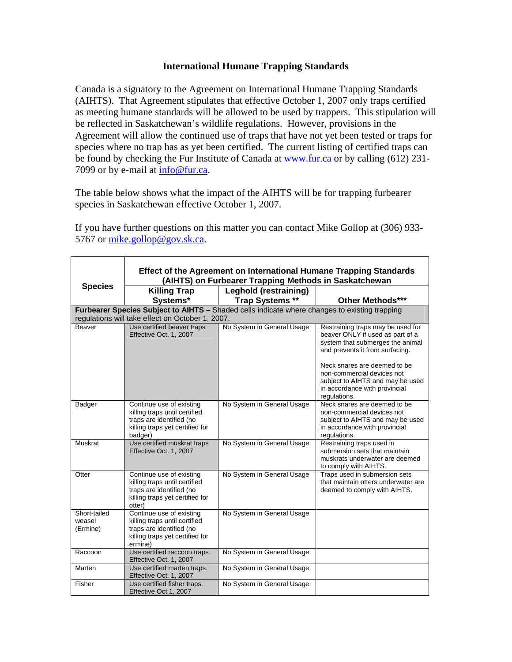## **International Humane Trapping Standards**

Canada is a signatory to the Agreement on International Humane Trapping Standards (AIHTS). That Agreement stipulates that effective October 1, 2007 only traps certified as meeting humane standards will be allowed to be used by trappers. This stipulation will be reflected in Saskatchewan's wildlife regulations. However, provisions in the Agreement will allow the continued use of traps that have not yet been tested or traps for species where no trap has as yet been certified. The current listing of certified traps can be found by checking the Fur Institute of Canada at www.fur.ca or by calling (612) 231-7099 or by e-mail at info@fur.ca.

The table below shows what the impact of the AIHTS will be for trapping furbearer species in Saskatchewan effective October 1, 2007.

If you have further questions on this matter you can contact Mike Gollop at (306) 933- 5767 or mike.gollop@gov.sk.ca.

|                                                                                                                                                   | Effect of the Agreement on International Humane Trapping Standards                                                                  |                                                       |                                                                                                                                                                                                                                                                                                 |  |
|---------------------------------------------------------------------------------------------------------------------------------------------------|-------------------------------------------------------------------------------------------------------------------------------------|-------------------------------------------------------|-------------------------------------------------------------------------------------------------------------------------------------------------------------------------------------------------------------------------------------------------------------------------------------------------|--|
| <b>Species</b>                                                                                                                                    |                                                                                                                                     | (AIHTS) on Furbearer Trapping Methods in Saskatchewan |                                                                                                                                                                                                                                                                                                 |  |
|                                                                                                                                                   | <b>Killing Trap</b>                                                                                                                 | Leghold (restraining)                                 |                                                                                                                                                                                                                                                                                                 |  |
|                                                                                                                                                   | Systems*                                                                                                                            | Trap Systems **                                       | Other Methods***                                                                                                                                                                                                                                                                                |  |
| Furbearer Species Subject to AIHTS - Shaded cells indicate where changes to existing trapping<br>regulations will take effect on October 1, 2007. |                                                                                                                                     |                                                       |                                                                                                                                                                                                                                                                                                 |  |
| Beaver                                                                                                                                            | Use certified beaver traps<br>Effective Oct. 1, 2007                                                                                | No System in General Usage                            | Restraining traps may be used for<br>beaver ONLY if used as part of a<br>system that submerges the animal<br>and prevents it from surfacing.<br>Neck snares are deemed to be<br>non-commercial devices not<br>subject to AIHTS and may be used<br>in accordance with provincial<br>regulations. |  |
| Badger                                                                                                                                            | Continue use of existing<br>killing traps until certified<br>traps are identified (no<br>killing traps yet certified for<br>badger) | No System in General Usage                            | Neck snares are deemed to be<br>non-commercial devices not<br>subject to AIHTS and may be used<br>in accordance with provincial<br>regulations.                                                                                                                                                 |  |
| Muskrat                                                                                                                                           | Use certified muskrat traps<br>Effective Oct. 1, 2007                                                                               | No System in General Usage                            | Restraining traps used in<br>submersion sets that maintain<br>muskrats underwater are deemed<br>to comply with AIHTS.                                                                                                                                                                           |  |
| Otter                                                                                                                                             | Continue use of existing<br>killing traps until certified<br>traps are identified (no<br>killing traps yet certified for<br>otter)  | No System in General Usage                            | Traps used in submersion sets<br>that maintain otters underwater are<br>deemed to comply with AIHTS.                                                                                                                                                                                            |  |
| Short-tailed<br>weasel<br>(Ermine)                                                                                                                | Continue use of existing<br>killing traps until certified<br>traps are identified (no<br>killing traps yet certified for<br>ermine) | No System in General Usage                            |                                                                                                                                                                                                                                                                                                 |  |
| Raccoon                                                                                                                                           | Use certified raccoon traps.<br>Effective Oct. 1, 2007                                                                              | No System in General Usage                            |                                                                                                                                                                                                                                                                                                 |  |
| Marten                                                                                                                                            | Use certified marten traps.<br>Effective Oct. 1, 2007                                                                               | No System in General Usage                            |                                                                                                                                                                                                                                                                                                 |  |
| Fisher                                                                                                                                            | Use certified fisher traps.<br>Effective Oct 1, 2007                                                                                | No System in General Usage                            |                                                                                                                                                                                                                                                                                                 |  |